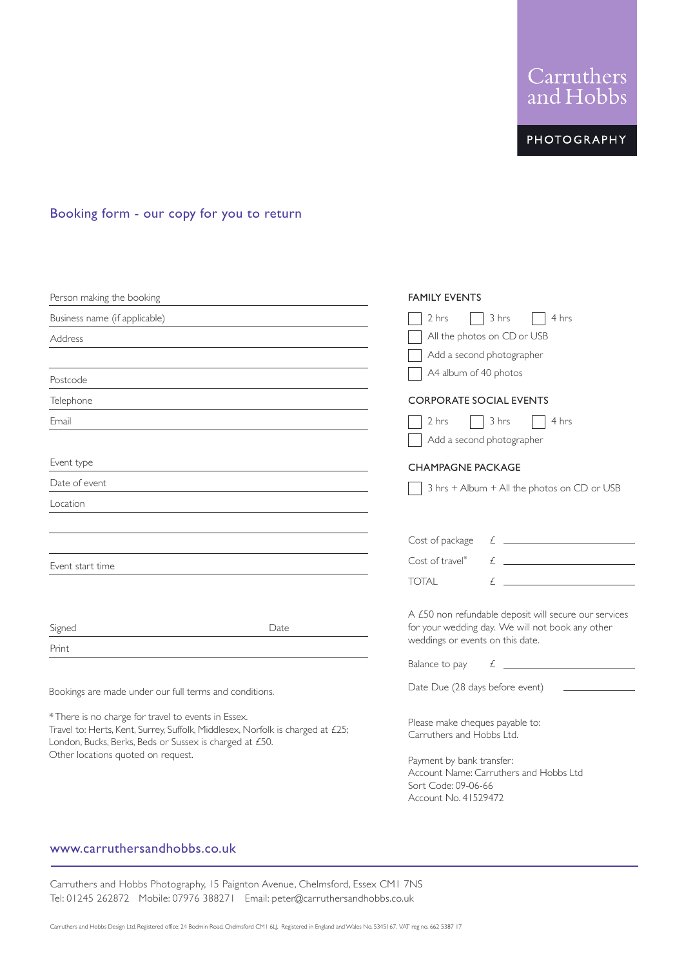Carruthers<br>and Hobbs

**PHOTOGRAPHY** 

# Booking form - our copy for you to return

| Person making the booking                                                                                                                                                                        | <b>FAMILY EVENTS</b>                                                                                                                                                                                                                                                                                                                                                                                 |
|--------------------------------------------------------------------------------------------------------------------------------------------------------------------------------------------------|------------------------------------------------------------------------------------------------------------------------------------------------------------------------------------------------------------------------------------------------------------------------------------------------------------------------------------------------------------------------------------------------------|
| Business name (if applicable)                                                                                                                                                                    | 2 hrs<br>3 hrs<br>4 hrs                                                                                                                                                                                                                                                                                                                                                                              |
| Address                                                                                                                                                                                          | All the photos on CD or USB                                                                                                                                                                                                                                                                                                                                                                          |
|                                                                                                                                                                                                  | Add a second photographer                                                                                                                                                                                                                                                                                                                                                                            |
| Postcode                                                                                                                                                                                         | A4 album of 40 photos                                                                                                                                                                                                                                                                                                                                                                                |
| Telephone                                                                                                                                                                                        | <b>CORPORATE SOCIAL EVENTS</b>                                                                                                                                                                                                                                                                                                                                                                       |
| Email                                                                                                                                                                                            | 3 hrs<br>2 hrs<br>4 hrs<br>Add a second photographer                                                                                                                                                                                                                                                                                                                                                 |
| Event type                                                                                                                                                                                       | <b>CHAMPAGNE PACKAGE</b>                                                                                                                                                                                                                                                                                                                                                                             |
| Date of event                                                                                                                                                                                    | 3 hrs + Album + All the photos on CD or USB                                                                                                                                                                                                                                                                                                                                                          |
| Location                                                                                                                                                                                         |                                                                                                                                                                                                                                                                                                                                                                                                      |
|                                                                                                                                                                                                  | Cost of package                                                                                                                                                                                                                                                                                                                                                                                      |
| Event start time                                                                                                                                                                                 | Cost of travel*                                                                                                                                                                                                                                                                                                                                                                                      |
|                                                                                                                                                                                                  | <b>TOTAL</b>                                                                                                                                                                                                                                                                                                                                                                                         |
| Signed                                                                                                                                                                                           | A £50 non refundable deposit will secure our services<br>for your wedding day. We will not book any other<br>Date                                                                                                                                                                                                                                                                                    |
| Print                                                                                                                                                                                            | weddings or events on this date.                                                                                                                                                                                                                                                                                                                                                                     |
|                                                                                                                                                                                                  | $\epsilon$ and $\epsilon$ and $\epsilon$ and $\epsilon$ and $\epsilon$ and $\epsilon$ and $\epsilon$ and $\epsilon$ and $\epsilon$ and $\epsilon$ and $\epsilon$ and $\epsilon$ and $\epsilon$ and $\epsilon$ and $\epsilon$ and $\epsilon$ and $\epsilon$ and $\epsilon$ and $\epsilon$ and $\epsilon$ and $\epsilon$ and $\epsilon$ and $\epsilon$ and $\epsilon$ and $\epsilon$<br>Balance to pay |
| Bookings are made under our full terms and conditions.                                                                                                                                           | Date Due (28 days before event)                                                                                                                                                                                                                                                                                                                                                                      |
| * There is no charge for travel to events in Essex.<br>Travel to: Herts, Kent, Surrey, Suffolk, Middlesex, Norfolk is charged at £25;<br>London, Bucks, Berks, Beds or Sussex is charged at £50. | Please make cheques payable to:<br>Carruthers and Hobbs Ltd.                                                                                                                                                                                                                                                                                                                                         |
| Other locations quoted on request.                                                                                                                                                               | Payment by bank transfer:<br>Account Name: Carruthers and Hobbs Ltd<br>Sort Code: 09-06-66<br>Account No. 41529472                                                                                                                                                                                                                                                                                   |

# www.carruthersandhobbs.co.uk

Carruthers and Hobbs Photography, 15 Paignton Avenue, Chelmsford, Essex CM1 7NS Tel: 01245 262872 Mobile: 07976 388271 Email: peter@carruthersandhobbs.co.uk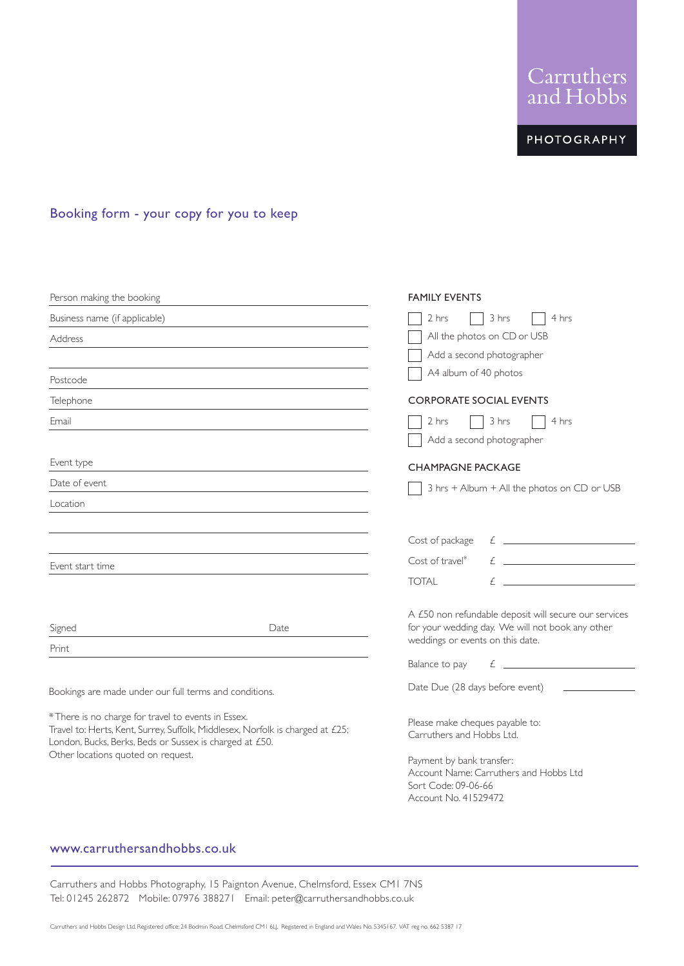Carruthers<br>and Hobbs

**PHOTOGRAPHY** 

# Booking form - your copy for you to keep

| Person making the booking                                                                                                                                                                        |      | <b>FAMILY EVENTS</b>                                                                                               |
|--------------------------------------------------------------------------------------------------------------------------------------------------------------------------------------------------|------|--------------------------------------------------------------------------------------------------------------------|
| Business name (if applicable)                                                                                                                                                                    |      | 2 hrs<br>3 hrs<br>4 hrs                                                                                            |
| Address                                                                                                                                                                                          |      | All the photos on CD or USB                                                                                        |
|                                                                                                                                                                                                  |      | Add a second photographer                                                                                          |
| Postcode                                                                                                                                                                                         |      | A4 album of 40 photos                                                                                              |
| Telephone                                                                                                                                                                                        |      | <b>CORPORATE SOCIAL EVENTS</b>                                                                                     |
| Email                                                                                                                                                                                            |      | 3 hrs<br>2 hrs<br>4 hrs<br>Add a second photographer                                                               |
| Event type                                                                                                                                                                                       |      | <b>CHAMPAGNE PACKAGE</b>                                                                                           |
| Date of event                                                                                                                                                                                    |      | 3 hrs + Album + All the photos on CD or USB                                                                        |
| Location                                                                                                                                                                                         |      |                                                                                                                    |
|                                                                                                                                                                                                  |      | Cost of package                                                                                                    |
| Event start time                                                                                                                                                                                 |      | $f(x) = \frac{1}{2\pi} \int_{0}^{1} f(x) \, dx$<br>Cost of travel*                                                 |
|                                                                                                                                                                                                  |      | <b>TOTAL</b>                                                                                                       |
| Signed                                                                                                                                                                                           | Date | A £50 non refundable deposit will secure our services<br>for your wedding day. We will not book any other          |
| Print                                                                                                                                                                                            |      | weddings or events on this date.                                                                                   |
|                                                                                                                                                                                                  |      | $\mathcal{L}$ $\mathcal{L}$<br>Balance to pay                                                                      |
| Bookings are made under our full terms and conditions.                                                                                                                                           |      | Date Due (28 days before event)                                                                                    |
| * There is no charge for travel to events in Essex.<br>Travel to: Herts, Kent, Surrey, Suffolk, Middlesex, Norfolk is charged at £25;<br>London, Bucks, Berks, Beds or Sussex is charged at £50. |      | Please make cheques payable to:<br>Carruthers and Hobbs Ltd.                                                       |
| Other locations quoted on request.                                                                                                                                                               |      | Payment by bank transfer:<br>Account Name: Carruthers and Hobbs Ltd<br>Sort Code: 09-06-66<br>Account No. 41529472 |

## www.carruthersandhobbs.co.uk

Carruthers and Hobbs Photography, 15 Paignton Avenue, Chelmsford, Essex CM1 7NS Tel: 01245 262872 Mobile: 07976 388271 Email: peter@carruthersandhobbs.co.uk